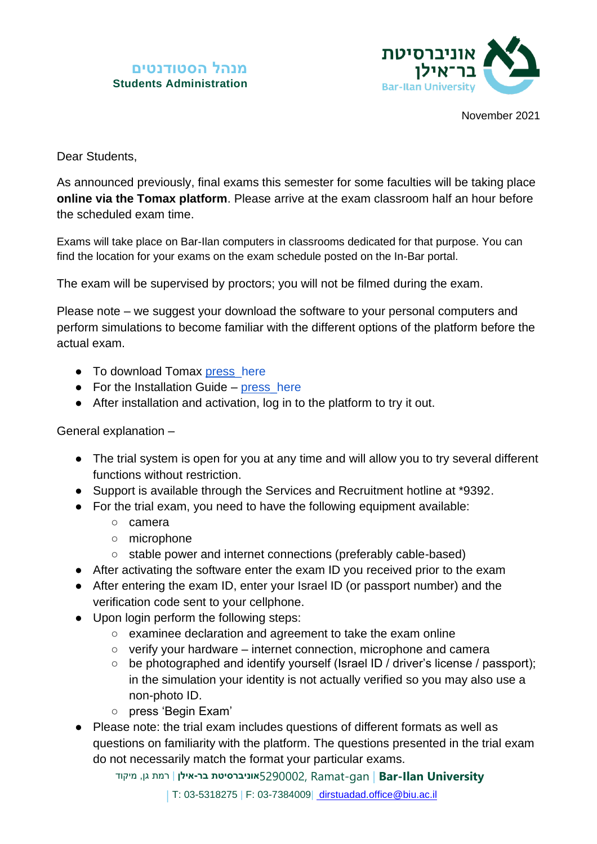## **מנהל הסטודנטים Students Administration**



November 2021

Dear Students,

As announced previously, final exams this semester for some faculties will be taking place **online via the Tomax platform**. Please arrive at the exam classroom half an hour before the scheduled exam time.

Exams will take place on Bar-Ilan computers in classrooms dedicated for that purpose. You can find the location for your exams on the exam schedule posted on the In-Bar portal.

The exam will be supervised by proctors; you will not be filmed during the exam.

Please note – we suggest your download the software to your personal computers and perform simulations to become familiar with the different options of the platform before the actual exam.

- To download Tomax [press\\_here](https://setup.tomaetest.com/TomaETest/setup.html)
- For the Installation Guide [press](https://tssupport.tomaxltd.com/en/support/home)[\\_here](http://tssupport.tomaxltd.com/he/support/home)
- After installation and activation, log in to the platform to try it out.

General explanation –

- The trial system is open for you at any time and will allow you to try several different functions without restriction.
- Support is available through the Services and Recruitment hotline at \*9392.
- For the trial exam, you need to have the following equipment available:
	- camera
	- microphone
	- stable power and internet connections (preferably cable-based)
- After activating the software enter the exam ID you received prior to the exam
- After entering the exam ID, enter your Israel ID (or passport number) and the verification code sent to your cellphone.
- Upon login perform the following steps:
	- examinee declaration and agreement to take the exam online
	- verify your hardware internet connection, microphone and camera
	- be photographed and identify yourself (Israel ID / driver's license / passport); in the simulation your identity is not actually verified so you may also use a non-photo ID.
	- press 'Begin Exam'
- Please note: the trial exam includes questions of different formats as well as questions on familiarity with the platform. The questions presented in the trial exam do not necessarily match the format your particular exams.